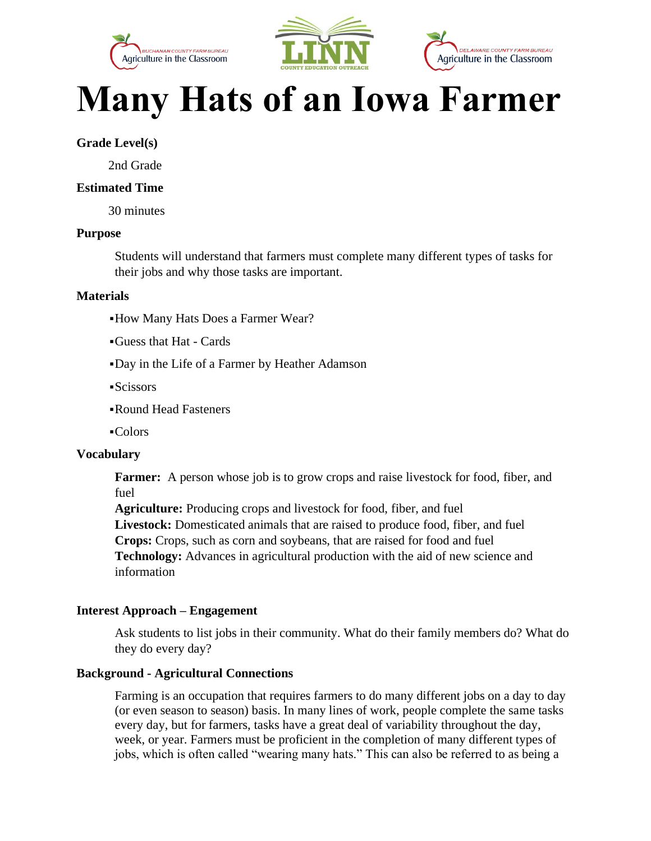





# **Many Hats of an Iowa Farmer**

## **Grade Level(s)**

2nd Grade

#### **Estimated Time**

30 minutes

#### **Purpose**

Students will understand that farmers must complete many different types of tasks for their jobs and why those tasks are important.

#### **Materials**

- ▪How Many Hats Does a Farmer Wear?
- ▪Guess that Hat Cards
- ▪Day in the Life of a Farmer by Heather Adamson
- ▪Scissors
- ▪Round Head Fasteners
- ▪Colors

#### **Vocabulary**

Farmer: A person whose job is to grow crops and raise livestock for food, fiber, and fuel

**Agriculture:** Producing crops and livestock for food, fiber, and fuel **Livestock:** Domesticated animals that are raised to produce food, fiber, and fuel **Crops:** Crops, such as corn and soybeans, that are raised for food and fuel **Technology:** Advances in agricultural production with the aid of new science and information

#### **Interest Approach – Engagement**

Ask students to list jobs in their community. What do their family members do? What do they do every day?

## **Background - Agricultural Connections**

Farming is an occupation that requires farmers to do many different jobs on a day to day (or even season to season) basis. In many lines of work, people complete the same tasks every day, but for farmers, tasks have a great deal of variability throughout the day, week, or year. Farmers must be proficient in the completion of many different types of jobs, which is often called "wearing many hats." This can also be referred to as being a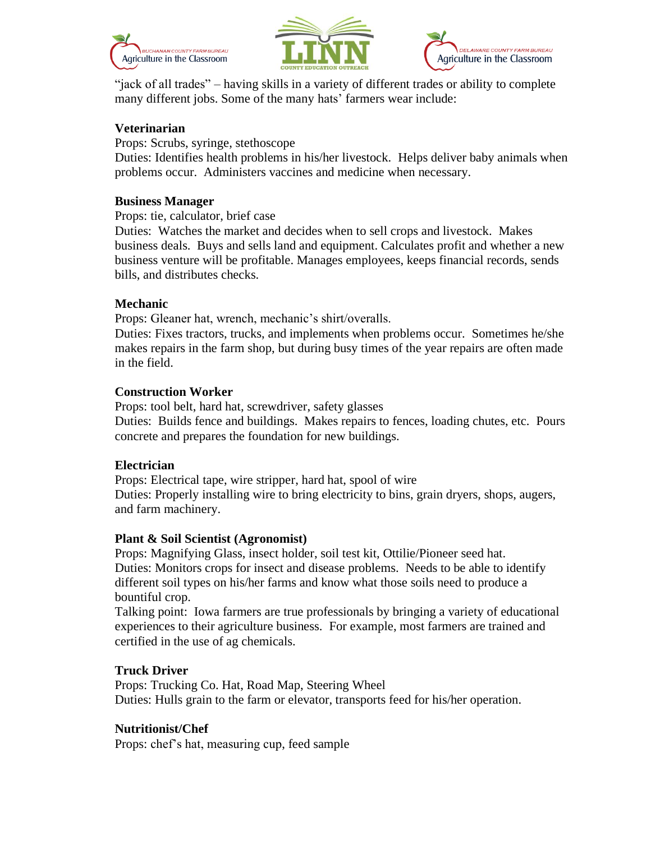





"jack of all trades" – having skills in a variety of different trades or ability to complete many different jobs. Some of the many hats' farmers wear include:

## **Veterinarian**

Props: Scrubs, syringe, stethoscope

Duties: Identifies health problems in his/her livestock. Helps deliver baby animals when problems occur. Administers vaccines and medicine when necessary.

#### **Business Manager**

Props: tie, calculator, brief case

Duties: Watches the market and decides when to sell crops and livestock. Makes business deals. Buys and sells land and equipment. Calculates profit and whether a new business venture will be profitable. Manages employees, keeps financial records, sends bills, and distributes checks.

#### **Mechanic**

Props: Gleaner hat, wrench, mechanic's shirt/overalls.

Duties: Fixes tractors, trucks, and implements when problems occur. Sometimes he/she makes repairs in the farm shop, but during busy times of the year repairs are often made in the field.

#### **Construction Worker**

Props: tool belt, hard hat, screwdriver, safety glasses Duties: Builds fence and buildings. Makes repairs to fences, loading chutes, etc. Pours concrete and prepares the foundation for new buildings.

## **Electrician**

Props: Electrical tape, wire stripper, hard hat, spool of wire Duties: Properly installing wire to bring electricity to bins, grain dryers, shops, augers, and farm machinery.

#### **Plant & Soil Scientist (Agronomist)**

Props: Magnifying Glass, insect holder, soil test kit, Ottilie/Pioneer seed hat. Duties: Monitors crops for insect and disease problems. Needs to be able to identify different soil types on his/her farms and know what those soils need to produce a bountiful crop.

Talking point: Iowa farmers are true professionals by bringing a variety of educational experiences to their agriculture business. For example, most farmers are trained and certified in the use of ag chemicals.

## **Truck Driver**

Props: Trucking Co. Hat, Road Map, Steering Wheel Duties: Hulls grain to the farm or elevator, transports feed for his/her operation.

## **Nutritionist/Chef**

Props: chef's hat, measuring cup, feed sample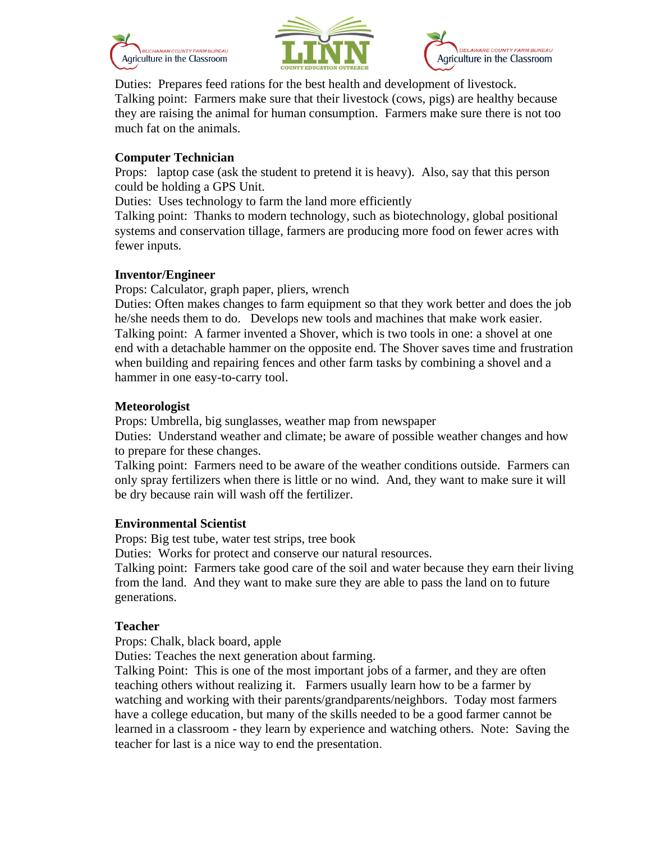





Duties: Prepares feed rations for the best health and development of livestock. Talking point: Farmers make sure that their livestock (cows, pigs) are healthy because they are raising the animal for human consumption. Farmers make sure there is not too much fat on the animals.

## **Computer Technician**

Props: laptop case (ask the student to pretend it is heavy). Also, say that this person could be holding a GPS Unit.

Duties: Uses technology to farm the land more efficiently

Talking point: Thanks to modern technology, such as biotechnology, global positional systems and conservation tillage, farmers are producing more food on fewer acres with fewer inputs.

# **Inventor/Engineer**

Props: Calculator, graph paper, pliers, wrench

Duties: Often makes changes to farm equipment so that they work better and does the job he/she needs them to do. Develops new tools and machines that make work easier. Talking point: A farmer invented a Shover, which is two tools in one: a shovel at one end with a detachable hammer on the opposite end. The Shover saves time and frustration when building and repairing fences and other farm tasks by combining a shovel and a hammer in one easy-to-carry tool.

# **Meteorologist**

Props: Umbrella, big sunglasses, weather map from newspaper

Duties: Understand weather and climate; be aware of possible weather changes and how to prepare for these changes.

Talking point: Farmers need to be aware of the weather conditions outside. Farmers can only spray fertilizers when there is little or no wind. And, they want to make sure it will be dry because rain will wash off the fertilizer.

## **Environmental Scientist**

Props: Big test tube, water test strips, tree book

Duties: Works for protect and conserve our natural resources.

Talking point: Farmers take good care of the soil and water because they earn their living from the land. And they want to make sure they are able to pass the land on to future generations.

# **Teacher**

Props: Chalk, black board, apple

Duties: Teaches the next generation about farming.

Talking Point: This is one of the most important jobs of a farmer, and they are often teaching others without realizing it. Farmers usually learn how to be a farmer by watching and working with their parents/grandparents/neighbors. Today most farmers have a college education, but many of the skills needed to be a good farmer cannot be learned in a classroom - they learn by experience and watching others. Note: Saving the teacher for last is a nice way to end the presentation.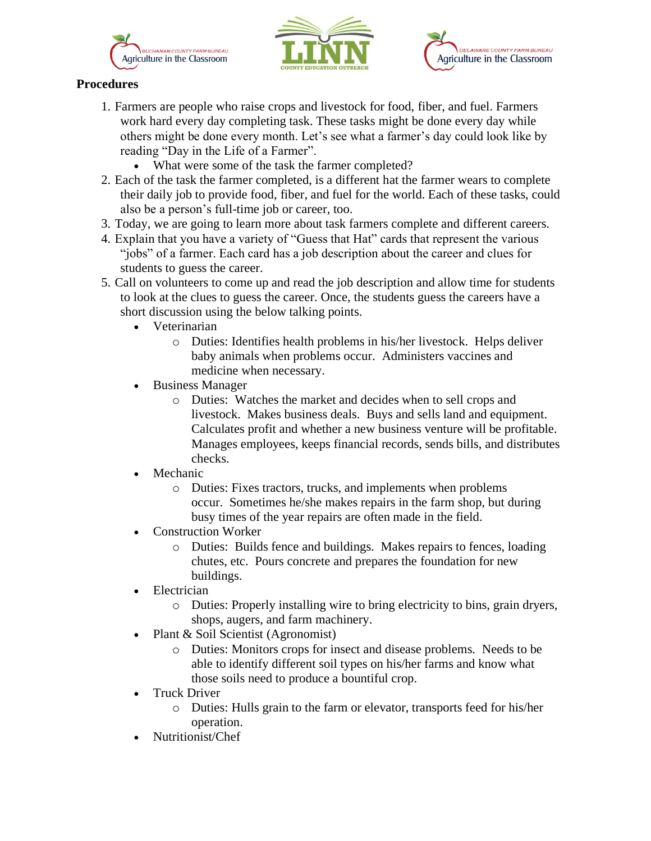





# **Procedures**

- 1. Farmers are people who raise crops and livestock for food, fiber, and fuel. Farmers work hard every day completing task. These tasks might be done every day while others might be done every month. Let's see what a farmer's day could look like by reading "Day in the Life of a Farmer".
	- What were some of the task the farmer completed?
- 2. Each of the task the farmer completed, is a different hat the farmer wears to complete their daily job to provide food, fiber, and fuel for the world. Each of these tasks, could also be a person's full-time job or career, too.
- 3. Today, we are going to learn more about task farmers complete and different careers.
- 4. Explain that you have a variety of "Guess that Hat" cards that represent the various "jobs" of a farmer. Each card has a job description about the career and clues for students to guess the career.
- 5. Call on volunteers to come up and read the job description and allow time for students to look at the clues to guess the career. Once, the students guess the careers have a short discussion using the below talking points.
	- Veterinarian
		- o Duties: Identifies health problems in his/her livestock. Helps deliver baby animals when problems occur. Administers vaccines and medicine when necessary.
	- Business Manager
		- o Duties: Watches the market and decides when to sell crops and livestock. Makes business deals. Buys and sells land and equipment. Calculates profit and whether a new business venture will be profitable. Manages employees, keeps financial records, sends bills, and distributes checks.
	- **Mechanic** 
		- o Duties: Fixes tractors, trucks, and implements when problems occur. Sometimes he/she makes repairs in the farm shop, but during busy times of the year repairs are often made in the field.
	- Construction Worker
		- o Duties: Builds fence and buildings. Makes repairs to fences, loading chutes, etc. Pours concrete and prepares the foundation for new buildings.
	- **Electrician** 
		- o Duties: Properly installing wire to bring electricity to bins, grain dryers, shops, augers, and farm machinery.
	- Plant & Soil Scientist (Agronomist)
		- o Duties: Monitors crops for insect and disease problems. Needs to be able to identify different soil types on his/her farms and know what those soils need to produce a bountiful crop.
	- Truck Driver
		- o Duties: Hulls grain to the farm or elevator, transports feed for his/her operation.
	- Nutritionist/Chef